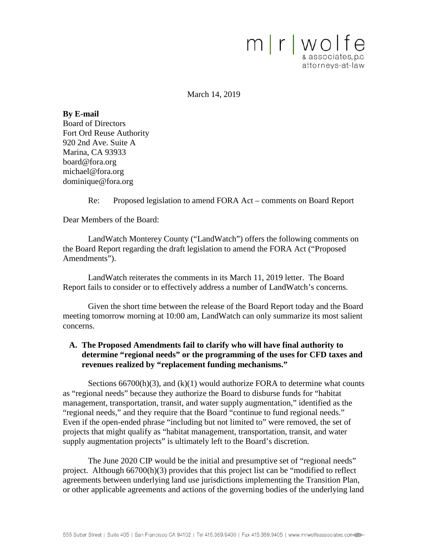

March 14, 2019

**By E-mail** Board of Directors Fort Ord Reuse Authority 920 2nd Ave. Suite A Marina, CA 93933 board@fora.org michael@fora.org dominique@fora.org

Re: Proposed legislation to amend FORA Act – comments on Board Report

Dear Members of the Board:

LandWatch Monterey County ("LandWatch") offers the following comments on the Board Report regarding the draft legislation to amend the FORA Act ("Proposed Amendments").

LandWatch reiterates the comments in its March 11, 2019 letter. The Board Report fails to consider or to effectively address a number of LandWatch's concerns.

Given the short time between the release of the Board Report today and the Board meeting tomorrow morning at 10:00 am, LandWatch can only summarize its most salient concerns.

## **A. The Proposed Amendments fail to clarify who will have final authority to determine "regional needs" or the programming of the uses for CFD taxes and revenues realized by "replacement funding mechanisms."**

Sections  $66700(h)(3)$ , and  $(k)(1)$  would authorize FORA to determine what counts as "regional needs" because they authorize the Board to disburse funds for "habitat management, transportation, transit, and water supply augmentation," identified as the "regional needs," and they require that the Board "continue to fund regional needs." Even if the open-ended phrase "including but not limited to" were removed, the set of projects that might qualify as "habitat management, transportation, transit, and water supply augmentation projects" is ultimately left to the Board's discretion.

The June 2020 CIP would be the initial and presumptive set of "regional needs" project. Although 66700(h)(3) provides that this project list can be "modified to reflect agreements between underlying land use jurisdictions implementing the Transition Plan, or other applicable agreements and actions of the governing bodies of the underlying land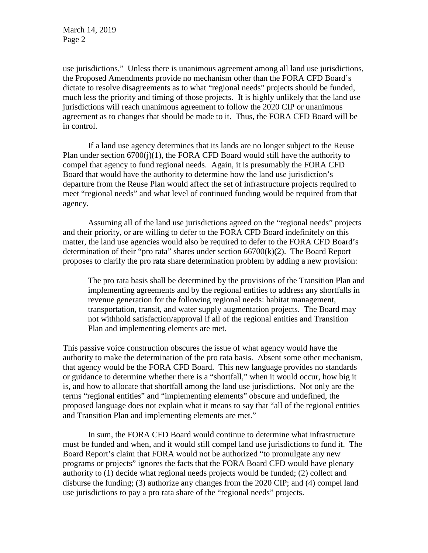March 14, 2019 Page 2

use jurisdictions." Unless there is unanimous agreement among all land use jurisdictions, the Proposed Amendments provide no mechanism other than the FORA CFD Board's dictate to resolve disagreements as to what "regional needs" projects should be funded, much less the priority and timing of those projects. It is highly unlikely that the land use jurisdictions will reach unanimous agreement to follow the 2020 CIP or unanimous agreement as to changes that should be made to it. Thus, the FORA CFD Board will be in control.

If a land use agency determines that its lands are no longer subject to the Reuse Plan under section  $6700(i)(1)$ , the FORA CFD Board would still have the authority to compel that agency to fund regional needs. Again, it is presumably the FORA CFD Board that would have the authority to determine how the land use jurisdiction's departure from the Reuse Plan would affect the set of infrastructure projects required to meet "regional needs" and what level of continued funding would be required from that agency.

Assuming all of the land use jurisdictions agreed on the "regional needs" projects and their priority, or are willing to defer to the FORA CFD Board indefinitely on this matter, the land use agencies would also be required to defer to the FORA CFD Board's determination of their "pro rata" shares under section 66700(k)(2). The Board Report proposes to clarify the pro rata share determination problem by adding a new provision:

The pro rata basis shall be determined by the provisions of the Transition Plan and implementing agreements and by the regional entities to address any shortfalls in revenue generation for the following regional needs: habitat management, transportation, transit, and water supply augmentation projects. The Board may not withhold satisfaction/approval if all of the regional entities and Transition Plan and implementing elements are met.

This passive voice construction obscures the issue of what agency would have the authority to make the determination of the pro rata basis. Absent some other mechanism, that agency would be the FORA CFD Board. This new language provides no standards or guidance to determine whether there is a "shortfall," when it would occur, how big it is, and how to allocate that shortfall among the land use jurisdictions. Not only are the terms "regional entities" and "implementing elements" obscure and undefined, the proposed language does not explain what it means to say that "all of the regional entities and Transition Plan and implementing elements are met."

In sum, the FORA CFD Board would continue to determine what infrastructure must be funded and when, and it would still compel land use jurisdictions to fund it. The Board Report's claim that FORA would not be authorized "to promulgate any new programs or projects" ignores the facts that the FORA Board CFD would have plenary authority to (1) decide what regional needs projects would be funded; (2) collect and disburse the funding; (3) authorize any changes from the 2020 CIP; and (4) compel land use jurisdictions to pay a pro rata share of the "regional needs" projects.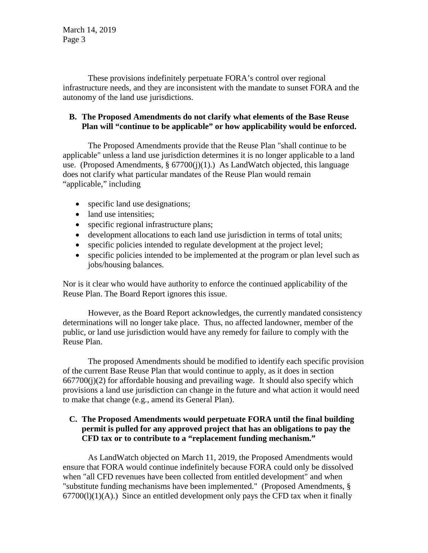March 14, 2019 Page 3

These provisions indefinitely perpetuate FORA's control over regional infrastructure needs, and they are inconsistent with the mandate to sunset FORA and the autonomy of the land use jurisdictions.

## **B. The Proposed Amendments do not clarify what elements of the Base Reuse Plan will "continue to be applicable" or how applicability would be enforced.**

The Proposed Amendments provide that the Reuse Plan "shall continue to be applicable" unless a land use jurisdiction determines it is no longer applicable to a land use. (Proposed Amendments,  $\S 67700(j)(1)$ .) As LandWatch objected, this language does not clarify what particular mandates of the Reuse Plan would remain "applicable," including

- specific land use designations;
- land use intensities;
- specific regional infrastructure plans;
- development allocations to each land use jurisdiction in terms of total units;
- specific policies intended to regulate development at the project level;
- specific policies intended to be implemented at the program or plan level such as jobs/housing balances.

Nor is it clear who would have authority to enforce the continued applicability of the Reuse Plan. The Board Report ignores this issue.

However, as the Board Report acknowledges, the currently mandated consistency determinations will no longer take place. Thus, no affected landowner, member of the public, or land use jurisdiction would have any remedy for failure to comply with the Reuse Plan.

The proposed Amendments should be modified to identify each specific provision of the current Base Reuse Plan that would continue to apply, as it does in section  $667700(i)(2)$  for affordable housing and prevailing wage. It should also specify which provisions a land use jurisdiction can change in the future and what action it would need to make that change (e.g., amend its General Plan).

## **C. The Proposed Amendments would perpetuate FORA until the final building permit is pulled for any approved project that has an obligations to pay the CFD tax or to contribute to a "replacement funding mechanism."**

As LandWatch objected on March 11, 2019, the Proposed Amendments would ensure that FORA would continue indefinitely because FORA could only be dissolved when "all CFD revenues have been collected from entitled development" and when "substitute funding mechanisms have been implemented." (Proposed Amendments, §  $67700(1)(1)(A)$ .) Since an entitled development only pays the CFD tax when it finally